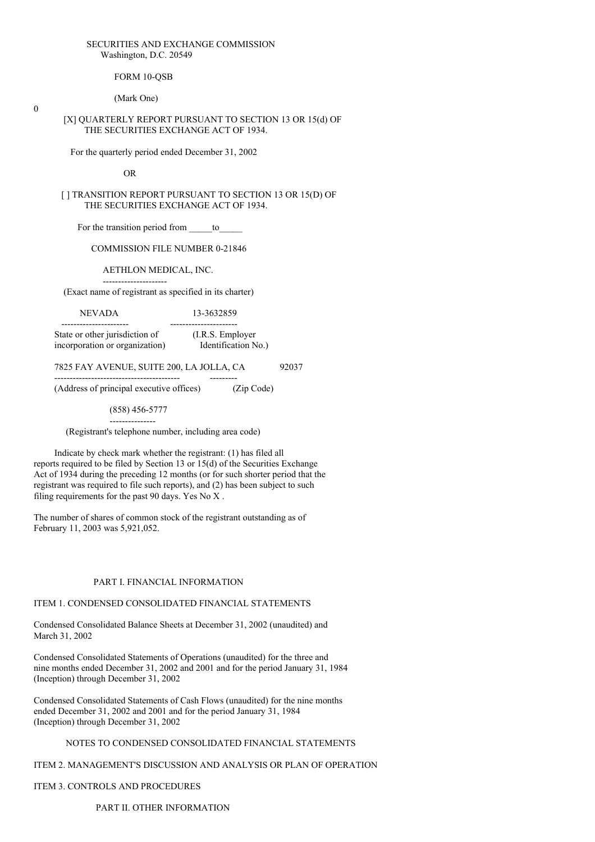#### SECURITIES AND EXCHANGE COMMISSION Washington, D.C. 20549

FORM 10-OSB

(Mark One)

 $\theta$ 

#### [X] QUARTERLY REPORT PURSUANT TO SECTION 13 OR 15(d) OF THE SECURITIES EXCHANGE ACT OF 1934.

For the quarterly period ended December 31, 2002

OR

[ ] TRANSITION REPORT PURSUANT TO SECTION 13 OR 15(D) OF THE SECURITIES EXCHANGE ACT OF 1934.

For the transition period from to

COMMISSION FILE NUMBER 0-21846

AETHLON MEDICAL, INC.

--------------------- (Exact name of registrant as specified in its charter)

NEVADA 13-3632859 ---------------------- ----------------------

State or other jurisdiction of (I.R.S. Employer incorporation or organization) Identification No.)

7825 FAY AVENUE, SUITE 200, LA JOLLA, CA 92037

----------------------------------------- --------- (Address of principal executive offices) (Zip Code)

(858) 456-5777

--------------- (Registrant's telephone number, including area code)

Indicate by check mark whether the registrant: (1) has filed all reports required to be filed by Section 13 or 15(d) of the Securities Exchange Act of 1934 during the preceding 12 months (or for such shorter period that the registrant was required to file such reports), and (2) has been subject to such filing requirements for the past 90 days. Yes No X .

The number of shares of common stock of the registrant outstanding as of February 11, 2003 was 5,921,052.

#### PART I. FINANCIAL INFORMATION

#### ITEM 1. CONDENSED CONSOLIDATED FINANCIAL STATEMENTS

Condensed Consolidated Balance Sheets at December 31, 2002 (unaudited) and March 31, 2002

Condensed Consolidated Statements of Operations (unaudited) for the three and nine months ended December 31, 2002 and 2001 and for the period January 31, 1984 (Inception) through December 31, 2002

Condensed Consolidated Statements of Cash Flows (unaudited) for the nine months ended December 31, 2002 and 2001 and for the period January 31, 1984 (Inception) through December 31, 2002

# NOTES TO CONDENSED CONSOLIDATED FINANCIAL STATEMENTS

ITEM 2. MANAGEMENT'S DISCUSSION AND ANALYSIS OR PLAN OF OPERATION

ITEM 3. CONTROLS AND PROCEDURES

PART II. OTHER INFORMATION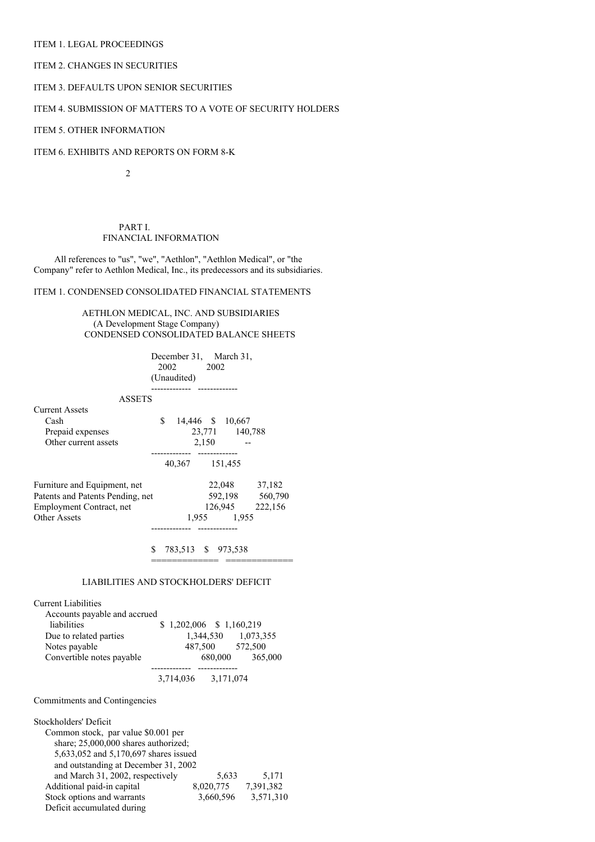### ITEM 1. LEGAL PROCEEDINGS

## ITEM 2. CHANGES IN SECURITIES

# ITEM 3. DEFAULTS UPON SENIOR SECURITIES

# ITEM 4. SUBMISSION OF MATTERS TO A VOTE OF SECURITY HOLDERS

# ITEM 5. OTHER INFORMATION

ITEM 6. EXHIBITS AND REPORTS ON FORM 8-K

 $\overline{2}$ 

PART I. FINANCIAL INFORMATION

All references to "us", "we", "Aethlon", "Aethlon Medical", or "the Company" refer to Aethlon Medical, Inc., its predecessors and its subsidiaries.

# ITEM 1. CONDENSED CONSOLIDATED FINANCIAL STATEMENTS

AETHLON MEDICAL, INC. AND SUBSIDIARIES (A Development Stage Company) CONDENSED CONSOLIDATED BALANCE SHEETS

|                                                                                                                                                                                                                                                         | December 31, March 31,<br>2002 2002<br>(Unaudited)<br>-------------- -------------                                              |  |  |  |  |
|---------------------------------------------------------------------------------------------------------------------------------------------------------------------------------------------------------------------------------------------------------|---------------------------------------------------------------------------------------------------------------------------------|--|--|--|--|
| <b>ASSETS</b>                                                                                                                                                                                                                                           |                                                                                                                                 |  |  |  |  |
| <b>Current Assets</b>                                                                                                                                                                                                                                   |                                                                                                                                 |  |  |  |  |
| Cash                                                                                                                                                                                                                                                    | \$ 14,446 \$ 10,667                                                                                                             |  |  |  |  |
| Prepaid expenses<br>Other current assets                                                                                                                                                                                                                | 23,771 140,788                                                                                                                  |  |  |  |  |
|                                                                                                                                                                                                                                                         | $2,150$ -                                                                                                                       |  |  |  |  |
|                                                                                                                                                                                                                                                         | 40,367 151,455                                                                                                                  |  |  |  |  |
| Furniture and Equipment, net                                                                                                                                                                                                                            | 22,048 37,182                                                                                                                   |  |  |  |  |
| Patents and Patents Pending, net                                                                                                                                                                                                                        | 592,198 560,790                                                                                                                 |  |  |  |  |
| Employment Contract, net                                                                                                                                                                                                                                | 126,945 222,156                                                                                                                 |  |  |  |  |
| <b>Other Assets</b>                                                                                                                                                                                                                                     | 1,955 1,955                                                                                                                     |  |  |  |  |
| <b>Current Liabilities</b><br>Accounts payable and accrued<br>liabilities<br>Due to related parties<br>Notes payable<br>Convertible notes payable                                                                                                       | LIABILITIES AND STOCKHOLDERS' DEFICIT<br>$$1,202,006$ $$1,160,219$<br>1,344,530 1,073,355<br>487,500 572,500<br>680,000 365,000 |  |  |  |  |
|                                                                                                                                                                                                                                                         | 3,714,036 3,171,074                                                                                                             |  |  |  |  |
| Commitments and Contingencies                                                                                                                                                                                                                           |                                                                                                                                 |  |  |  |  |
| Stockholders' Deficit<br>Common stock, par value \$0.001 per<br>share; 25,000,000 shares authorized;<br>5,633,052 and 5,170,697 shares issued<br>and outstanding at December 31, 2002<br>and March 31, 2002, respectively<br>Additional paid-in capital | 5,633 5,171<br>8,020,775 7,391,382                                                                                              |  |  |  |  |

Stock options and warrants 3,660,596 3,571,310

Deficit accumulated during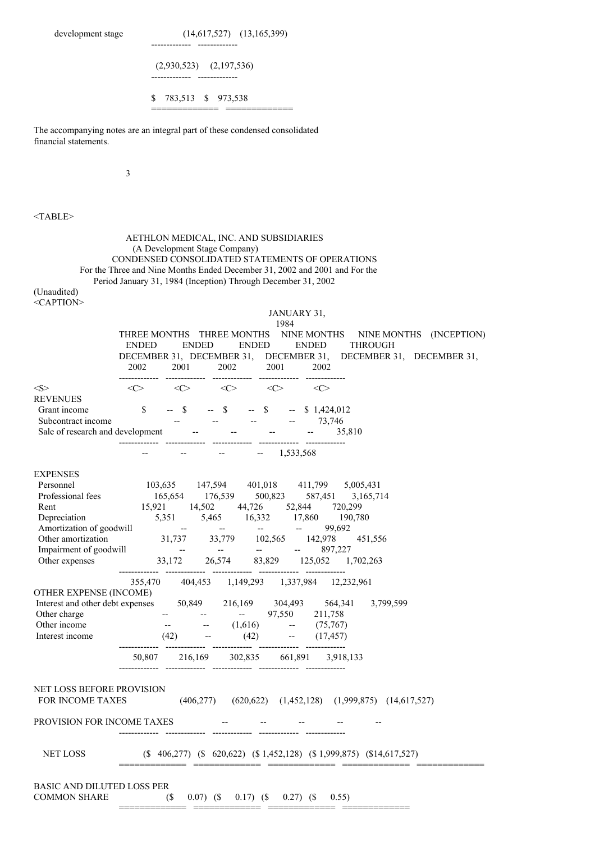|                                                                                                            | $(14,617,527)$ $(13,165,399)$                                                                                                                                                                                                                                             |
|------------------------------------------------------------------------------------------------------------|---------------------------------------------------------------------------------------------------------------------------------------------------------------------------------------------------------------------------------------------------------------------------|
|                                                                                                            | $(2,930,523)$ $(2,197,536)$                                                                                                                                                                                                                                               |
|                                                                                                            | S.<br>783,513 \$ 973,538                                                                                                                                                                                                                                                  |
| financial statements.                                                                                      | The accompanying notes are an integral part of these condensed consolidated                                                                                                                                                                                               |
| 3                                                                                                          |                                                                                                                                                                                                                                                                           |
|                                                                                                            |                                                                                                                                                                                                                                                                           |
| $<$ TABLE>                                                                                                 |                                                                                                                                                                                                                                                                           |
| (Unaudited)                                                                                                | AETHLON MEDICAL, INC. AND SUBSIDIARIES<br>(A Development Stage Company)<br>CONDENSED CONSOLIDATED STATEMENTS OF OPERATIONS<br>For the Three and Nine Months Ended December 31, 2002 and 2001 and For the<br>Period January 31, 1984 (Inception) Through December 31, 2002 |
| <caption></caption>                                                                                        | JANUARY 31,                                                                                                                                                                                                                                                               |
|                                                                                                            | 1984<br>THREE MONTHS THREE MONTHS<br>NINE MONTHS<br>NINE MONTHS (INCEPTION)<br><b>ENDED</b><br>ENDED<br><b>ENDED</b><br><b>ENDED</b><br><b>THROUGH</b><br>DECEMBER 31, DECEMBER 31, DECEMBER 31,<br>DECEMBER 31, DECEMBER 31,<br>2002<br>2001<br>2002<br>2001<br>2002     |
| $<\!\!S\!\!>$<br><b>REVENUES</b><br>Grant income<br>Subcontract income<br>Sale of research and development | $\langle \langle \rangle \rangle$ $\langle \langle \rangle$ $\langle \rangle$ $\langle \rangle$ $\langle \rangle$ $\langle \rangle$<br>\$<br>$--$ \$<br>$--$ \$<br>$-$ \$<br>$-$ \$ 1,424,012<br>73,746<br>35,810<br>$\overline{\phantom{m}}$<br>$\overline{\phantom{a}}$ |
|                                                                                                            |                                                                                                                                                                                                                                                                           |
|                                                                                                            | $-1,533,568$<br>$\overline{\phantom{m}}$<br>$\hspace{0.05cm} \dashv$                                                                                                                                                                                                      |
| <b>EXPENSES</b><br>Personnel                                                                               | 103,635 147,594 401,018 411,799 5,005,431<br>Professional fees 165,654 176,539 500,823 587,451 3,165,714<br>Rent 15,921 14,502 44,726 52,844 720,299<br>Depreciation 5,351 5,465 16,332 17,860 190,780<br>Other amortization 31,737 33,779 102,565 142,978 451,556        |
|                                                                                                            | Impairment of goodwill<br>33,172 26,574 83,829 125,052 1,702,263<br>125,052 1,702,263<br>355,470 404,453 1,149,293 1,337,984 12,232,961                                                                                                                                   |
| OTHER EXPENSE (INCOME)<br>Other charge<br>Other income                                                     | Interest and other debt expenses 50,849 216,169 304,493 564,341 3,799,599                                                                                                                                                                                                 |
| Interest income                                                                                            | $    97,550$ $211,758$<br>$  (1,616)$ $ (75,767)$<br>$(42)$ $ (42)$ $ (17,457)$                                                                                                                                                                                           |
| NET LOSS BEFORE PROVISION                                                                                  | $50,807 \qquad 216,169 \qquad 302,835 \qquad 661,891 \qquad 3,918,133$<br>FOR INCOME TAXES (406,277) (620,622) (1,452,128) (1,999,875) (14,617,527)<br>PROVISION FOR INCOME TAXES --<br>the company of the company of                                                     |

COMMON SHARE (\$ 0.07) (\$ 0.17) (\$ 0.27) (\$ 0.55) ============= ============= ============= =============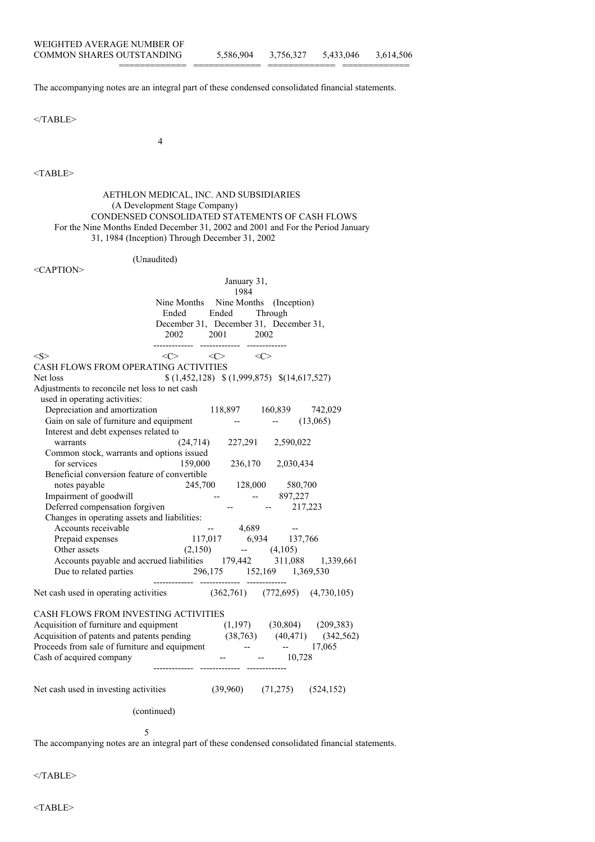============= ============= ============= =============

The accompanying notes are an integral part of these condensed consolidated financial statements.

</TABLE>

4

 $<$ TABLE>

AETHLON MEDICAL, INC. AND SUBSIDIARIES (A Development Stage Company) CONDENSED CONSOLIDATED STATEMENTS OF CASH FLOWS For the Nine Months Ended December 31, 2002 and 2001 and For the Period January 31, 1984 (Inception) Through December 31, 2002 (Unaudited) <CAPTION> January 31, 1984 Nine Months Nine Months (Inception) Ended Ended Through December 31, December 31, December 31, 2002 2001 2002 ------------- ------------- -------------  $\langle S \rangle$   $\langle C \rangle$   $\langle C \rangle$   $\langle C \rangle$ CASH FLOWS FROM OPERATING ACTIVITIES Net loss  $$ (1,452,128) $ (1,999,875) $ (14,617,527)$ Adjustments to reconcile net loss to net cash used in operating activities: Depreciation and amortization 118,897 160,839 742,029 Gain on sale of furniture and equipment  $(13,065)$ Interest and debt expenses related to warrants (24,714) 227,291 2,590,022 Common stock, warrants and options issued for services 159,000 236,170 2,030,434 Beneficial conversion feature of convertible notes payable 245,700 128,000 580,700 Impairment of goodwill -- - - 897,227 Deferred compensation forgiven -- - 217,223 Changes in operating assets and liabilities: Accounts receivable  $-4,689$ Prepaid expenses 117,017 6,934 137,766 Other assets (2,150) -- (4,105) Accounts payable and accrued liabilities 179,442 311,088 1,339,661 Due to related parties 296,175 152,169 1,369,530 ------------ ------------ ------------Net cash used in operating activities (362,761) (772,695) (4,730,105) CASH FLOWS FROM INVESTING ACTIVITIES Acquisition of furniture and equipment (1,197) (30,804) (209,383) Acquisition of patents and patents pending (38,763) (40,471) (342,562) Proceeds from sale of furniture and equipment --  $-$  17,065 Cash of acquired company -- - - - - - 10,728 ------------- ------------- ------------- Net cash used in investing activities (39,960) (71,275) (524,152) (continued)

5

The accompanying notes are an integral part of these condensed consolidated financial statements.

</TABLE>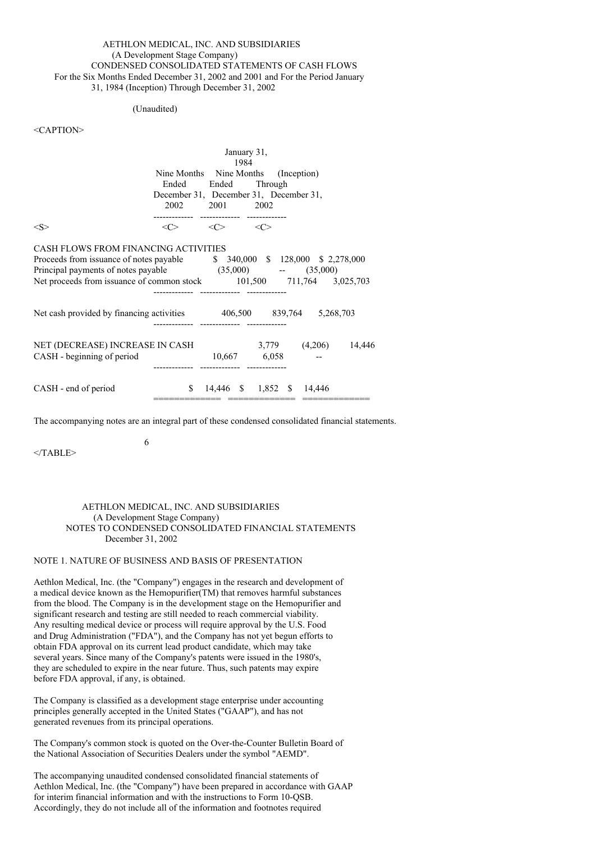#### AETHLON MEDICAL, INC. AND SUBSIDIARIES (A Development Stage Company) CONDENSED CONSOLIDATED STATEMENTS OF CASH FLOWS For the Six Months Ended December 31, 2002 and 2001 and For the Period January 31, 1984 (Inception) Through December 31, 2002

#### (Unaudited)

## <CAPTION>

|                                                                        | January 31,<br>1984                                                     |                       |                           |                                     |  |  |
|------------------------------------------------------------------------|-------------------------------------------------------------------------|-----------------------|---------------------------|-------------------------------------|--|--|
|                                                                        |                                                                         |                       |                           | Nine Months Nine Months (Inception) |  |  |
|                                                                        | Ended Ended Through                                                     |                       |                           |                                     |  |  |
|                                                                        | December 31, December 31, December 31,                                  |                       |                           |                                     |  |  |
|                                                                        |                                                                         | 2002 2001 2002        |                           |                                     |  |  |
| $<\ge$                                                                 | $\langle \zeta \rangle$ $\langle \zeta \rangle$ $\langle \zeta \rangle$ |                       |                           |                                     |  |  |
| CASH FLOWS FROM FINANCING ACTIVITIES                                   |                                                                         |                       |                           |                                     |  |  |
| Proceeds from issuance of notes payable $$340,000 $128,000 $2,278,000$ |                                                                         |                       |                           |                                     |  |  |
| Principal payments of notes payable (35,000) -- (35,000)               |                                                                         |                       |                           |                                     |  |  |
| Net proceeds from issuance of common stock 101,500 711,764 3,025,703   |                                                                         |                       |                           |                                     |  |  |
|                                                                        |                                                                         |                       |                           |                                     |  |  |
| Net cash provided by financing activities $406,500$ 839,764 5,268,703  |                                                                         |                       |                           |                                     |  |  |
|                                                                        |                                                                         | ------- ------------- |                           |                                     |  |  |
| NET (DECREASE) INCREASE IN CASH 3,779 (4,206) 14,446                   |                                                                         |                       |                           |                                     |  |  |
| CASH - beginning of period                                             |                                                                         | 10,667 6,058          |                           |                                     |  |  |
|                                                                        |                                                                         |                       |                           |                                     |  |  |
| CASH - end of period                                                   | $\mathbb{S}$                                                            |                       | 14,446 \$ 1,852 \$ 14,446 |                                     |  |  |
|                                                                        |                                                                         |                       |                           |                                     |  |  |

The accompanying notes are an integral part of these condensed consolidated financial statements.

 $<$ /TABLE>

#### AETHLON MEDICAL, INC. AND SUBSIDIARIES (A Development Stage Company) NOTES TO CONDENSED CONSOLIDATED FINANCIAL STATEMENTS December 31, 2002

#### NOTE 1. NATURE OF BUSINESS AND BASIS OF PRESENTATION

6

Aethlon Medical, Inc. (the "Company") engages in the research and development of a medical device known as the Hemopurifier(TM) that removes harmful substances from the blood. The Company is in the development stage on the Hemopurifier and significant research and testing are still needed to reach commercial viability. Any resulting medical device or process will require approval by the U.S. Food and Drug Administration ("FDA"), and the Company has not yet begun efforts to obtain FDA approval on its current lead product candidate, which may take several years. Since many of the Company's patents were issued in the 1980's, they are scheduled to expire in the near future. Thus, such patents may expire before FDA approval, if any, is obtained.

The Company is classified as a development stage enterprise under accounting principles generally accepted in the United States ("GAAP"), and has not generated revenues from its principal operations.

The Company's common stock is quoted on the Over-the-Counter Bulletin Board of the National Association of Securities Dealers under the symbol "AEMD".

The accompanying unaudited condensed consolidated financial statements of Aethlon Medical, Inc. (the "Company") have been prepared in accordance with GAAP for interim financial information and with the instructions to Form 10-QSB. Accordingly, they do not include all of the information and footnotes required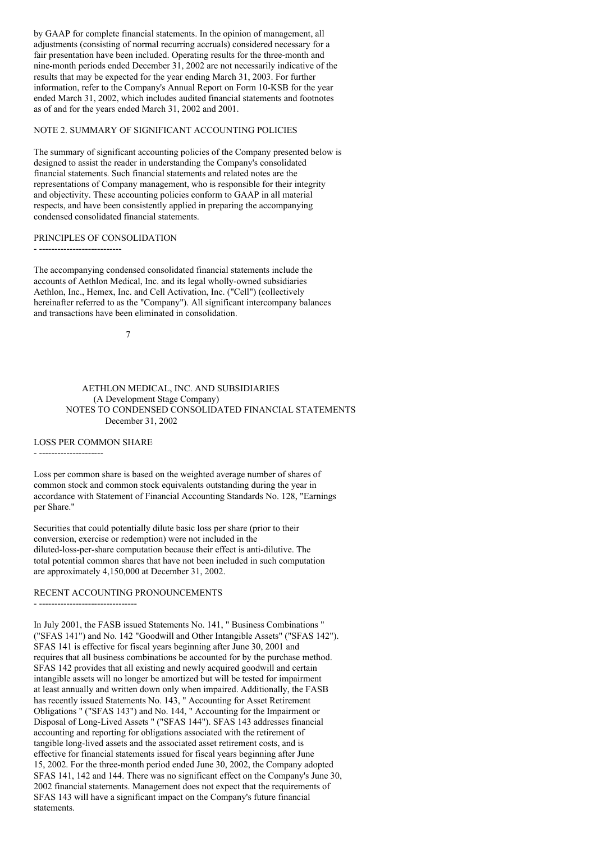by GAAP for complete financial statements. In the opinion of management, all adjustments (consisting of normal recurring accruals) considered necessary for a fair presentation have been included. Operating results for the three-month and nine-month periods ended December 31, 2002 are not necessarily indicative of the results that may be expected for the year ending March 31, 2003. For further information, refer to the Company's Annual Report on Form 10-KSB for the year ended March 31, 2002, which includes audited financial statements and footnotes as of and for the years ended March 31, 2002 and 2001.

## NOTE 2. SUMMARY OF SIGNIFICANT ACCOUNTING POLICIES

The summary of significant accounting policies of the Company presented below is designed to assist the reader in understanding the Company's consolidated financial statements. Such financial statements and related notes are the representations of Company management, who is responsible for their integrity and objectivity. These accounting policies conform to GAAP in all material respects, and have been consistently applied in preparing the accompanying condensed consolidated financial statements.

#### PRINCIPLES OF CONSOLIDATION

- ---------------------------

The accompanying condensed consolidated financial statements include the accounts of Aethlon Medical, Inc. and its legal wholly-owned subsidiaries Aethlon, Inc., Hemex, Inc. and Cell Activation, Inc. ("Cell") (collectively hereinafter referred to as the "Company"). All significant intercompany balances and transactions have been eliminated in consolidation.

7

#### AETHLON MEDICAL, INC. AND SUBSIDIARIES (A Development Stage Company) NOTES TO CONDENSED CONSOLIDATED FINANCIAL STATEMENTS December 31, 2002

#### LOSS PER COMMON SHARE

- ---------------------------------

- ---------------------

Loss per common share is based on the weighted average number of shares of common stock and common stock equivalents outstanding during the year in accordance with Statement of Financial Accounting Standards No. 128, "Earnings per Share."

Securities that could potentially dilute basic loss per share (prior to their conversion, exercise or redemption) were not included in the diluted-loss-per-share computation because their effect is anti-dilutive. The total potential common shares that have not been included in such computation are approximately 4,150,000 at December 31, 2002.

#### RECENT ACCOUNTING PRONOUNCEMENTS

In July 2001, the FASB issued Statements No. 141, " Business Combinations " ("SFAS 141") and No. 142 "Goodwill and Other Intangible Assets" ("SFAS 142"). SFAS 141 is effective for fiscal years beginning after June 30, 2001 and requires that all business combinations be accounted for by the purchase method. SFAS 142 provides that all existing and newly acquired goodwill and certain intangible assets will no longer be amortized but will be tested for impairment at least annually and written down only when impaired. Additionally, the FASB has recently issued Statements No. 143, " Accounting for Asset Retirement Obligations " ("SFAS 143") and No. 144, " Accounting for the Impairment or Disposal of Long-Lived Assets " ("SFAS 144"). SFAS 143 addresses financial accounting and reporting for obligations associated with the retirement of tangible long-lived assets and the associated asset retirement costs, and is effective for financial statements issued for fiscal years beginning after June 15, 2002. For the three-month period ended June 30, 2002, the Company adopted SFAS 141, 142 and 144. There was no significant effect on the Company's June 30, 2002 financial statements. Management does not expect that the requirements of SFAS 143 will have a significant impact on the Company's future financial statements.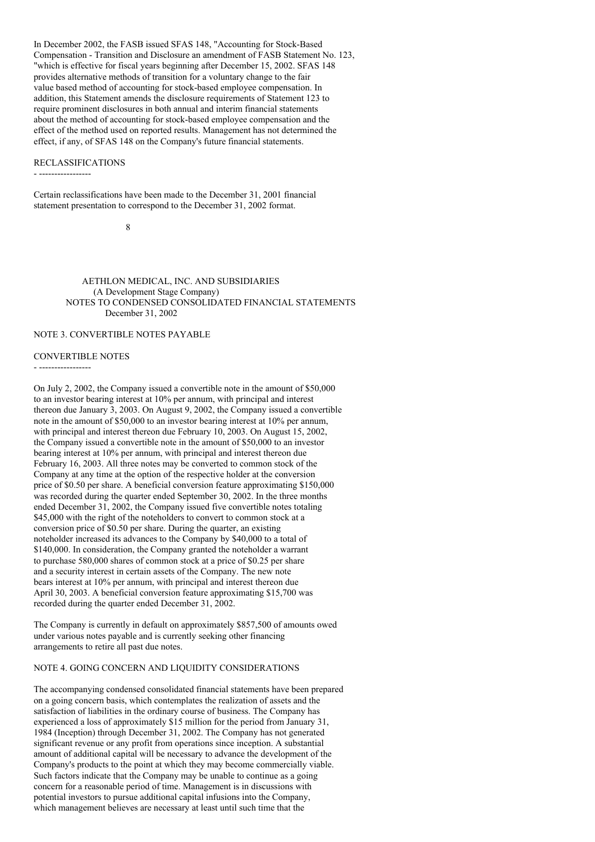In December 2002, the FASB issued SFAS 148, "Accounting for Stock-Based Compensation - Transition and Disclosure an amendment of FASB Statement No. 123, "which is effective for fiscal years beginning after December 15, 2002. SFAS 148 provides alternative methods of transition for a voluntary change to the fair value based method of accounting for stock-based employee compensation. In addition, this Statement amends the disclosure requirements of Statement 123 to require prominent disclosures in both annual and interim financial statements about the method of accounting for stock-based employee compensation and the effect of the method used on reported results. Management has not determined the effect, if any, of SFAS 148 on the Company's future financial statements.

#### RECLASSIFICATIONS

- -----------------

Certain reclassifications have been made to the December 31, 2001 financial statement presentation to correspond to the December 31, 2002 format.

8

AETHLON MEDICAL, INC. AND SUBSIDIARIES (A Development Stage Company) NOTES TO CONDENSED CONSOLIDATED FINANCIAL STATEMENTS December 31, 2002

#### NOTE 3. CONVERTIBLE NOTES PAYABLE

#### CONVERTIBLE NOTES

- -----------------

On July 2, 2002, the Company issued a convertible note in the amount of \$50,000 to an investor bearing interest at 10% per annum, with principal and interest thereon due January 3, 2003. On August 9, 2002, the Company issued a convertible note in the amount of \$50,000 to an investor bearing interest at 10% per annum, with principal and interest thereon due February 10, 2003. On August 15, 2002, the Company issued a convertible note in the amount of \$50,000 to an investor bearing interest at 10% per annum, with principal and interest thereon due February 16, 2003. All three notes may be converted to common stock of the Company at any time at the option of the respective holder at the conversion price of \$0.50 per share. A beneficial conversion feature approximating \$150,000 was recorded during the quarter ended September 30, 2002. In the three months ended December 31, 2002, the Company issued five convertible notes totaling \$45,000 with the right of the noteholders to convert to common stock at a conversion price of \$0.50 per share. During the quarter, an existing noteholder increased its advances to the Company by \$40,000 to a total of \$140,000. In consideration, the Company granted the noteholder a warrant to purchase 580,000 shares of common stock at a price of \$0.25 per share and a security interest in certain assets of the Company. The new note bears interest at 10% per annum, with principal and interest thereon due April 30, 2003. A beneficial conversion feature approximating \$15,700 was recorded during the quarter ended December 31, 2002.

The Company is currently in default on approximately \$857,500 of amounts owed under various notes payable and is currently seeking other financing arrangements to retire all past due notes.

#### NOTE 4. GOING CONCERN AND LIQUIDITY CONSIDERATIONS

The accompanying condensed consolidated financial statements have been prepared on a going concern basis, which contemplates the realization of assets and the satisfaction of liabilities in the ordinary course of business. The Company has experienced a loss of approximately \$15 million for the period from January 31, 1984 (Inception) through December 31, 2002. The Company has not generated significant revenue or any profit from operations since inception. A substantial amount of additional capital will be necessary to advance the development of the Company's products to the point at which they may become commercially viable. Such factors indicate that the Company may be unable to continue as a going concern for a reasonable period of time. Management is in discussions with potential investors to pursue additional capital infusions into the Company, which management believes are necessary at least until such time that the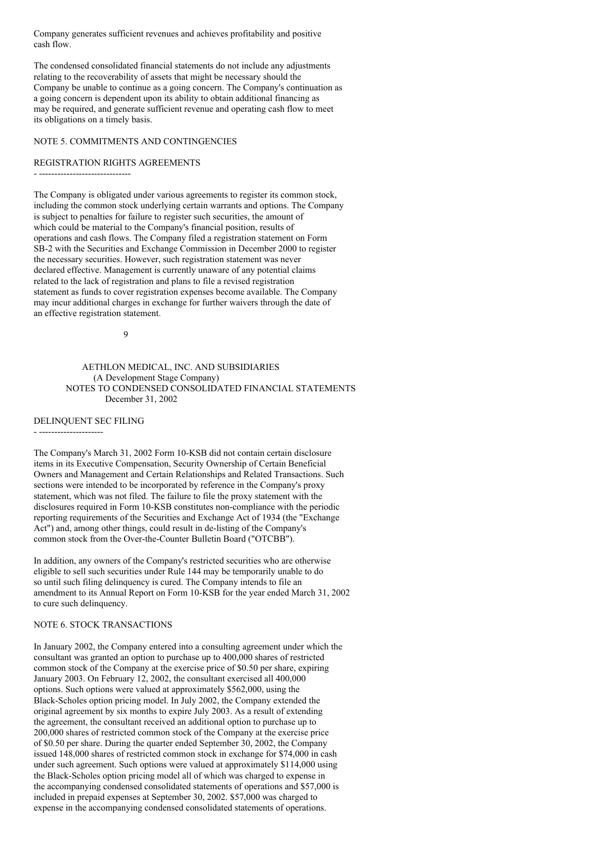Company generates sufficient revenues and achieves profitability and positive cash flow.

The condensed consolidated financial statements do not include any adjustments relating to the recoverability of assets that might be necessary should the Company be unable to continue as a going concern. The Company's continuation as a going concern is dependent upon its ability to obtain additional financing as may be required, and generate sufficient revenue and operating cash flow to meet its obligations on a timely basis.

## NOTE 5. COMMITMENTS AND CONTINGENCIES

#### REGISTRATION RIGHTS AGREEMENTS

- ------------------------------

The Company is obligated under various agreements to register its common stock, including the common stock underlying certain warrants and options. The Company is subject to penalties for failure to register such securities, the amount of which could be material to the Company's financial position, results of operations and cash flows. The Company filed a registration statement on Form SB-2 with the Securities and Exchange Commission in December 2000 to register the necessary securities. However, such registration statement was never declared effective. Management is currently unaware of any potential claims related to the lack of registration and plans to file a revised registration statement as funds to cover registration expenses become available. The Company may incur additional charges in exchange for further waivers through the date of an effective registration statement.

9

#### AETHLON MEDICAL, INC. AND SUBSIDIARIES (A Development Stage Company) NOTES TO CONDENSED CONSOLIDATED FINANCIAL STATEMENTS December 31, 2002

DELINQUENT SEC FILING

- ---------------------

The Company's March 31, 2002 Form 10-KSB did not contain certain disclosure items in its Executive Compensation, Security Ownership of Certain Beneficial Owners and Management and Certain Relationships and Related Transactions. Such sections were intended to be incorporated by reference in the Company's proxy statement, which was not filed. The failure to file the proxy statement with the disclosures required in Form 10-KSB constitutes non-compliance with the periodic reporting requirements of the Securities and Exchange Act of 1934 (the "Exchange Act") and, among other things, could result in de-listing of the Company's common stock from the Over-the-Counter Bulletin Board ("OTCBB").

In addition, any owners of the Company's restricted securities who are otherwise eligible to sell such securities under Rule 144 may be temporarily unable to do so until such filing delinquency is cured. The Company intends to file an amendment to its Annual Report on Form 10-KSB for the year ended March 31, 2002 to cure such delinquency.

#### NOTE 6. STOCK TRANSACTIONS

In January 2002, the Company entered into a consulting agreement under which the consultant was granted an option to purchase up to 400,000 shares of restricted common stock of the Company at the exercise price of \$0.50 per share, expiring January 2003. On February 12, 2002, the consultant exercised all 400,000 options. Such options were valued at approximately \$562,000, using the Black-Scholes option pricing model. In July 2002, the Company extended the original agreement by six months to expire July 2003. As a result of extending the agreement, the consultant received an additional option to purchase up to 200,000 shares of restricted common stock of the Company at the exercise price of \$0.50 per share. During the quarter ended September 30, 2002, the Company issued 148,000 shares of restricted common stock in exchange for \$74,000 in cash under such agreement. Such options were valued at approximately \$114,000 using the Black-Scholes option pricing model all of which was charged to expense in the accompanying condensed consolidated statements of operations and \$57,000 is included in prepaid expenses at September 30, 2002. \$57,000 was charged to expense in the accompanying condensed consolidated statements of operations.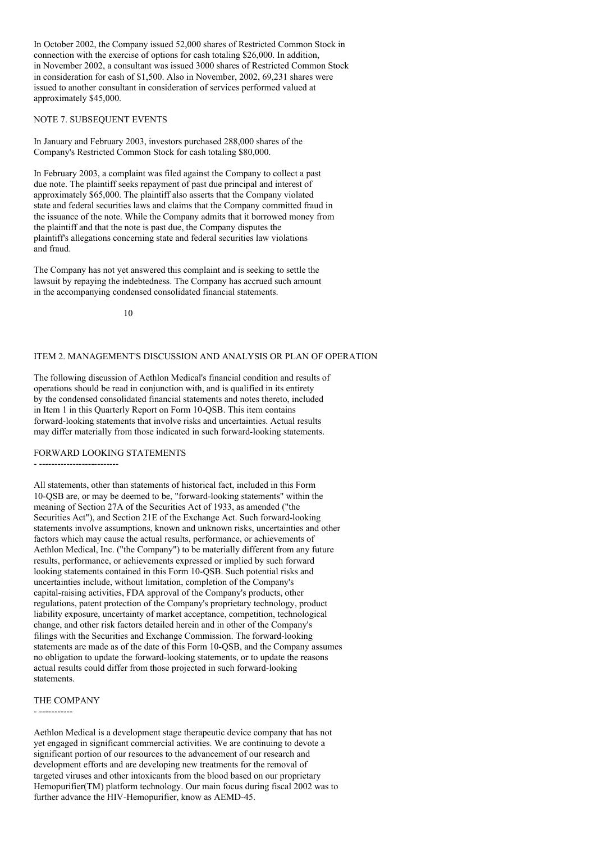In October 2002, the Company issued 52,000 shares of Restricted Common Stock in connection with the exercise of options for cash totaling \$26,000. In addition, in November 2002, a consultant was issued 3000 shares of Restricted Common Stock in consideration for cash of \$1,500. Also in November, 2002, 69,231 shares were issued to another consultant in consideration of services performed valued at approximately \$45,000.

#### NOTE 7. SUBSEQUENT EVENTS

In January and February 2003, investors purchased 288,000 shares of the Company's Restricted Common Stock for cash totaling \$80,000.

In February 2003, a complaint was filed against the Company to collect a past due note. The plaintiff seeks repayment of past due principal and interest of approximately \$65,000. The plaintiff also asserts that the Company violated state and federal securities laws and claims that the Company committed fraud in the issuance of the note. While the Company admits that it borrowed money from the plaintiff and that the note is past due, the Company disputes the plaintiff's allegations concerning state and federal securities law violations and fraud.

The Company has not yet answered this complaint and is seeking to settle the lawsuit by repaying the indebtedness. The Company has accrued such amount in the accompanying condensed consolidated financial statements.

10

#### ITEM 2. MANAGEMENT'S DISCUSSION AND ANALYSIS OR PLAN OF OPERATION

The following discussion of Aethlon Medical's financial condition and results of operations should be read in conjunction with, and is qualified in its entirety by the condensed consolidated financial statements and notes thereto, included in Item 1 in this Quarterly Report on Form 10-QSB. This item contains forward-looking statements that involve risks and uncertainties. Actual results may differ materially from those indicated in such forward-looking statements.

# FORWARD LOOKING STATEMENTS

- --------------------------

All statements, other than statements of historical fact, included in this Form 10-QSB are, or may be deemed to be, "forward-looking statements" within the meaning of Section 27A of the Securities Act of 1933, as amended ("the Securities Act"), and Section 21E of the Exchange Act. Such forward-looking statements involve assumptions, known and unknown risks, uncertainties and other factors which may cause the actual results, performance, or achievements of Aethlon Medical, Inc. ("the Company") to be materially different from any future results, performance, or achievements expressed or implied by such forward looking statements contained in this Form 10-QSB. Such potential risks and uncertainties include, without limitation, completion of the Company's capital-raising activities, FDA approval of the Company's products, other regulations, patent protection of the Company's proprietary technology, product liability exposure, uncertainty of market acceptance, competition, technological change, and other risk factors detailed herein and in other of the Company's filings with the Securities and Exchange Commission. The forward-looking statements are made as of the date of this Form 10-QSB, and the Company assumes no obligation to update the forward-looking statements, or to update the reasons actual results could differ from those projected in such forward-looking statements.

#### THE COMPANY

- -----------

Aethlon Medical is a development stage therapeutic device company that has not yet engaged in significant commercial activities. We are continuing to devote a significant portion of our resources to the advancement of our research and development efforts and are developing new treatments for the removal of targeted viruses and other intoxicants from the blood based on our proprietary Hemopurifier(TM) platform technology. Our main focus during fiscal 2002 was to further advance the HIV-Hemopurifier, know as AEMD-45.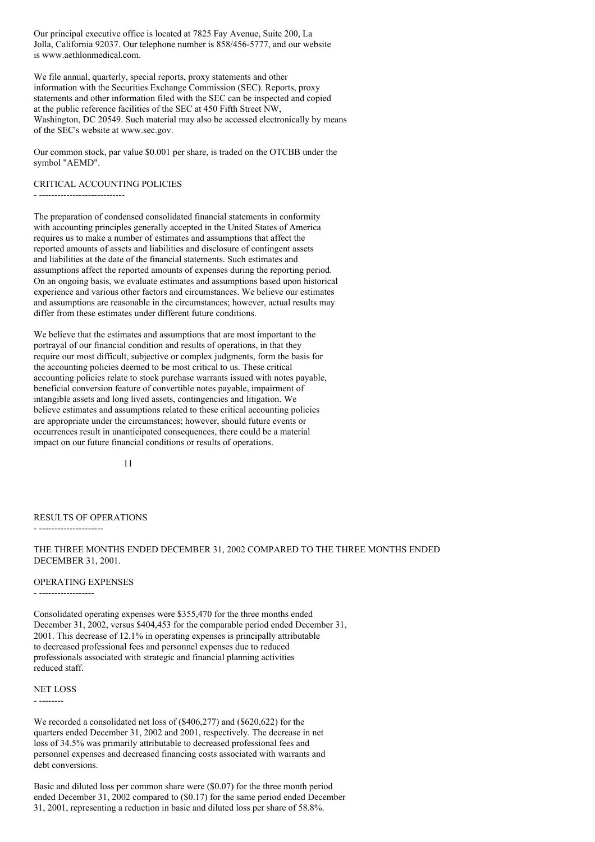Our principal executive office is located at 7825 Fay Avenue, Suite 200, La Jolla, California 92037. Our telephone number is 858/456-5777, and our website is www.aethlonmedical.com.

We file annual, quarterly, special reports, proxy statements and other information with the Securities Exchange Commission (SEC). Reports, proxy statements and other information filed with the SEC can be inspected and copied at the public reference facilities of the SEC at 450 Fifth Street NW, Washington, DC 20549. Such material may also be accessed electronically by means of the SEC's website at www.sec.gov.

Our common stock, par value \$0.001 per share, is traded on the OTCBB under the symbol "AEMD".

#### CRITICAL ACCOUNTING POLICIES

- ----------------------------

The preparation of condensed consolidated financial statements in conformity with accounting principles generally accepted in the United States of America requires us to make a number of estimates and assumptions that affect the reported amounts of assets and liabilities and disclosure of contingent assets and liabilities at the date of the financial statements. Such estimates and assumptions affect the reported amounts of expenses during the reporting period. On an ongoing basis, we evaluate estimates and assumptions based upon historical experience and various other factors and circumstances. We believe our estimates and assumptions are reasonable in the circumstances; however, actual results may differ from these estimates under different future conditions.

We believe that the estimates and assumptions that are most important to the portrayal of our financial condition and results of operations, in that they require our most difficult, subjective or complex judgments, form the basis for the accounting policies deemed to be most critical to us. These critical accounting policies relate to stock purchase warrants issued with notes payable, beneficial conversion feature of convertible notes payable, impairment of intangible assets and long lived assets, contingencies and litigation. We believe estimates and assumptions related to these critical accounting policies are appropriate under the circumstances; however, should future events or occurrences result in unanticipated consequences, there could be a material impact on our future financial conditions or results of operations.

11

#### RESULTS OF OPERATIONS

- ---------------------

THE THREE MONTHS ENDED DECEMBER 31, 2002 COMPARED TO THE THREE MONTHS ENDED DECEMBER 31, 2001.

#### OPERATING EXPENSES

- ------------------

Consolidated operating expenses were \$355,470 for the three months ended December 31, 2002, versus \$404,453 for the comparable period ended December 31, 2001. This decrease of 12.1% in operating expenses is principally attributable to decreased professional fees and personnel expenses due to reduced professionals associated with strategic and financial planning activities reduced staff.

#### NET LOSS - --------

We recorded a consolidated net loss of (\$406,277) and (\$620,622) for the quarters ended December 31, 2002 and 2001, respectively. The decrease in net loss of 34.5% was primarily attributable to decreased professional fees and personnel expenses and decreased financing costs associated with warrants and debt conversions.

Basic and diluted loss per common share were (\$0.07) for the three month period ended December 31, 2002 compared to (\$0.17) for the same period ended December 31, 2001, representing a reduction in basic and diluted loss per share of 58.8%.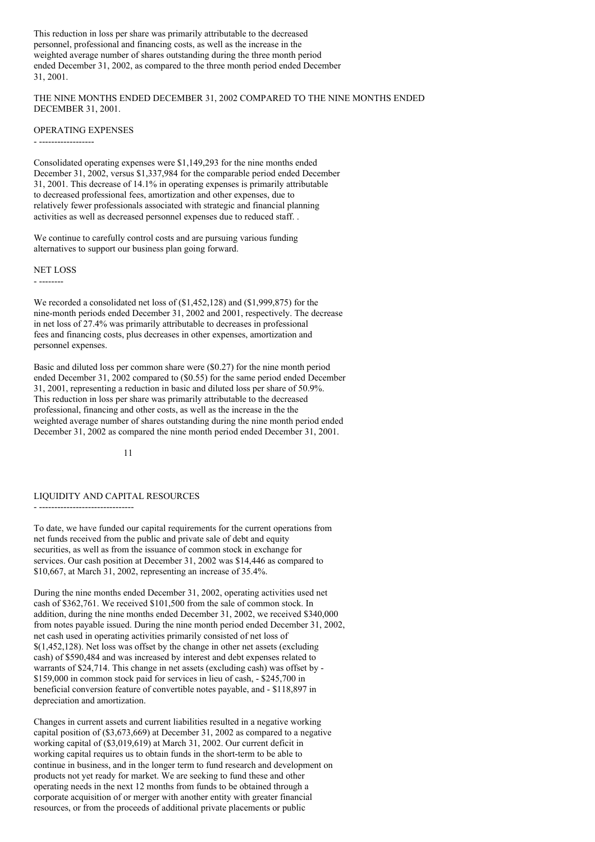This reduction in loss per share was primarily attributable to the decreased personnel, professional and financing costs, as well as the increase in the weighted average number of shares outstanding during the three month period ended December 31, 2002, as compared to the three month period ended December 31, 2001.

THE NINE MONTHS ENDED DECEMBER 31, 2002 COMPARED TO THE NINE MONTHS ENDED DECEMBER 31, 2001.

#### OPERATING EXPENSES

- ------------------

Consolidated operating expenses were \$1,149,293 for the nine months ended December 31, 2002, versus \$1,337,984 for the comparable period ended December 31, 2001. This decrease of 14.1% in operating expenses is primarily attributable to decreased professional fees, amortization and other expenses, due to relatively fewer professionals associated with strategic and financial planning activities as well as decreased personnel expenses due to reduced staff. .

We continue to carefully control costs and are pursuing various funding alternatives to support our business plan going forward.

#### NET LOSS

- --------

We recorded a consolidated net loss of (\$1,452,128) and (\$1,999,875) for the nine-month periods ended December 31, 2002 and 2001, respectively. The decrease in net loss of 27.4% was primarily attributable to decreases in professional fees and financing costs, plus decreases in other expenses, amortization and personnel expenses.

Basic and diluted loss per common share were (\$0.27) for the nine month period ended December 31, 2002 compared to (\$0.55) for the same period ended December 31, 2001, representing a reduction in basic and diluted loss per share of 50.9%. This reduction in loss per share was primarily attributable to the decreased professional, financing and other costs, as well as the increase in the the weighted average number of shares outstanding during the nine month period ended December 31, 2002 as compared the nine month period ended December 31, 2001.

#### 11

## LIQUIDITY AND CAPITAL RESOURCES

- -------------------------------

To date, we have funded our capital requirements for the current operations from net funds received from the public and private sale of debt and equity securities, as well as from the issuance of common stock in exchange for services. Our cash position at December 31, 2002 was \$14,446 as compared to \$10,667, at March 31, 2002, representing an increase of 35.4%.

During the nine months ended December 31, 2002, operating activities used net cash of \$362,761. We received \$101,500 from the sale of common stock. In addition, during the nine months ended December 31, 2002, we received \$340,000 from notes payable issued. During the nine month period ended December 31, 2002, net cash used in operating activities primarily consisted of net loss of \$(1,452,128). Net loss was offset by the change in other net assets (excluding cash) of \$590,484 and was increased by interest and debt expenses related to warrants of \$24,714. This change in net assets (excluding cash) was offset by - \$159,000 in common stock paid for services in lieu of cash, - \$245,700 in beneficial conversion feature of convertible notes payable, and - \$118,897 in depreciation and amortization.

Changes in current assets and current liabilities resulted in a negative working capital position of (\$3,673,669) at December 31, 2002 as compared to a negative working capital of (\$3,019,619) at March 31, 2002. Our current deficit in working capital requires us to obtain funds in the short-term to be able to continue in business, and in the longer term to fund research and development on products not yet ready for market. We are seeking to fund these and other operating needs in the next 12 months from funds to be obtained through a corporate acquisition of or merger with another entity with greater financial resources, or from the proceeds of additional private placements or public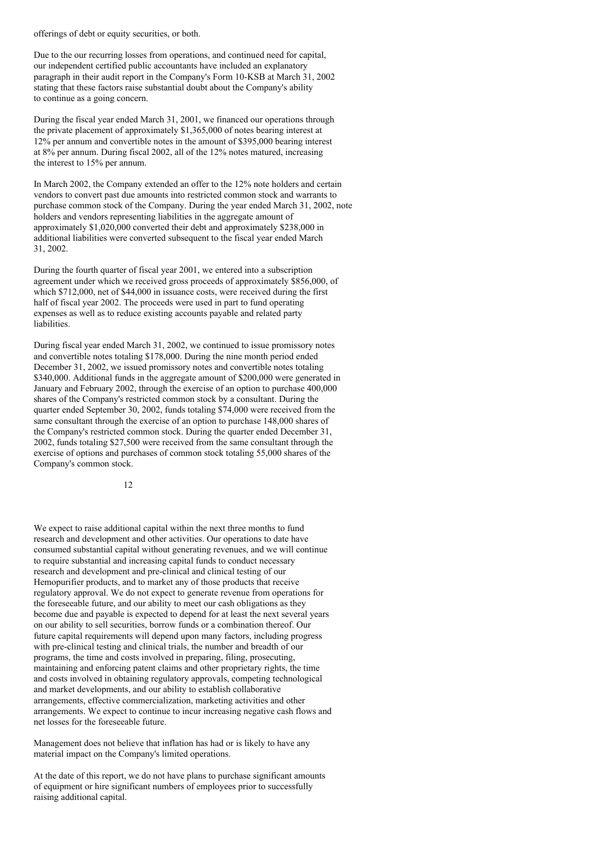offerings of debt or equity securities, or both.

Due to the our recurring losses from operations, and continued need for capital, our independent certified public accountants have included an explanatory paragraph in their audit report in the Company's Form 10-KSB at March 31, 2002 stating that these factors raise substantial doubt about the Company's ability to continue as a going concern.

During the fiscal year ended March 31, 2001, we financed our operations through the private placement of approximately \$1,365,000 of notes bearing interest at 12% per annum and convertible notes in the amount of \$395,000 bearing interest at 8% per annum. During fiscal 2002, all of the 12% notes matured, increasing the interest to 15% per annum.

In March 2002, the Company extended an offer to the 12% note holders and certain vendors to convert past due amounts into restricted common stock and warrants to purchase common stock of the Company. During the year ended March 31, 2002, note holders and vendors representing liabilities in the aggregate amount of approximately \$1,020,000 converted their debt and approximately \$238,000 in additional liabilities were converted subsequent to the fiscal year ended March 31, 2002.

During the fourth quarter of fiscal year 2001, we entered into a subscription agreement under which we received gross proceeds of approximately \$856,000, of which \$712,000, net of \$44,000 in issuance costs, were received during the first half of fiscal year 2002. The proceeds were used in part to fund operating expenses as well as to reduce existing accounts payable and related party liabilities.

During fiscal year ended March 31, 2002, we continued to issue promissory notes and convertible notes totaling \$178,000. During the nine month period ended December 31, 2002, we issued promissory notes and convertible notes totaling \$340,000. Additional funds in the aggregate amount of \$200,000 were generated in January and February 2002, through the exercise of an option to purchase 400,000 shares of the Company's restricted common stock by a consultant. During the quarter ended September 30, 2002, funds totaling \$74,000 were received from the same consultant through the exercise of an option to purchase 148,000 shares of the Company's restricted common stock. During the quarter ended December 31, 2002, funds totaling \$27,500 were received from the same consultant through the exercise of options and purchases of common stock totaling 55,000 shares of the Company's common stock.

12

We expect to raise additional capital within the next three months to fund research and development and other activities. Our operations to date have consumed substantial capital without generating revenues, and we will continue to require substantial and increasing capital funds to conduct necessary research and development and pre-clinical and clinical testing of our Hemopurifier products, and to market any of those products that receive regulatory approval. We do not expect to generate revenue from operations for the foreseeable future, and our ability to meet our cash obligations as they become due and payable is expected to depend for at least the next several years on our ability to sell securities, borrow funds or a combination thereof. Our future capital requirements will depend upon many factors, including progress with pre-clinical testing and clinical trials, the number and breadth of our programs, the time and costs involved in preparing, filing, prosecuting, maintaining and enforcing patent claims and other proprietary rights, the time and costs involved in obtaining regulatory approvals, competing technological and market developments, and our ability to establish collaborative arrangements, effective commercialization, marketing activities and other arrangements. We expect to continue to incur increasing negative cash flows and net losses for the foreseeable future.

Management does not believe that inflation has had or is likely to have any material impact on the Company's limited operations.

At the date of this report, we do not have plans to purchase significant amounts of equipment or hire significant numbers of employees prior to successfully raising additional capital.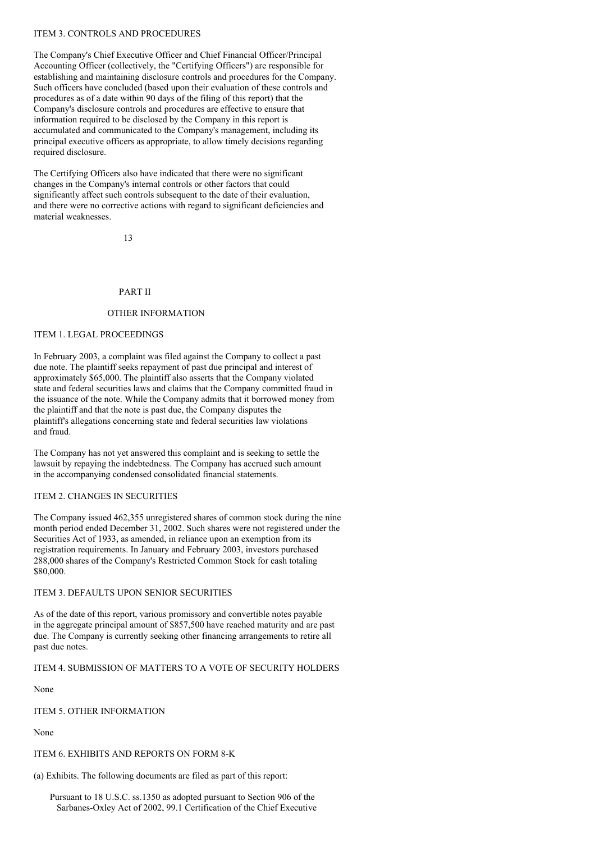## ITEM 3. CONTROLS AND PROCEDURES

The Company's Chief Executive Officer and Chief Financial Officer/Principal Accounting Officer (collectively, the "Certifying Officers") are responsible for establishing and maintaining disclosure controls and procedures for the Company. Such officers have concluded (based upon their evaluation of these controls and procedures as of a date within 90 days of the filing of this report) that the Company's disclosure controls and procedures are effective to ensure that information required to be disclosed by the Company in this report is accumulated and communicated to the Company's management, including its principal executive officers as appropriate, to allow timely decisions regarding required disclosure.

The Certifying Officers also have indicated that there were no significant changes in the Company's internal controls or other factors that could significantly affect such controls subsequent to the date of their evaluation, and there were no corrective actions with regard to significant deficiencies and material weaknesses.

13

## PART II

#### OTHER INFORMATION

# ITEM 1. LEGAL PROCEEDINGS

In February 2003, a complaint was filed against the Company to collect a past due note. The plaintiff seeks repayment of past due principal and interest of approximately \$65,000. The plaintiff also asserts that the Company violated state and federal securities laws and claims that the Company committed fraud in the issuance of the note. While the Company admits that it borrowed money from the plaintiff and that the note is past due, the Company disputes the plaintiff's allegations concerning state and federal securities law violations and fraud.

The Company has not yet answered this complaint and is seeking to settle the lawsuit by repaying the indebtedness. The Company has accrued such amount in the accompanying condensed consolidated financial statements.

#### ITEM 2. CHANGES IN SECURITIES

The Company issued 462,355 unregistered shares of common stock during the nine month period ended December 31, 2002. Such shares were not registered under the Securities Act of 1933, as amended, in reliance upon an exemption from its registration requirements. In January and February 2003, investors purchased 288,000 shares of the Company's Restricted Common Stock for cash totaling \$80,000.

#### ITEM 3. DEFAULTS UPON SENIOR SECURITIES

As of the date of this report, various promissory and convertible notes payable in the aggregate principal amount of \$857,500 have reached maturity and are past due. The Company is currently seeking other financing arrangements to retire all past due notes.

ITEM 4. SUBMISSION OF MATTERS TO A VOTE OF SECURITY HOLDERS

None

ITEM 5. OTHER INFORMATION

None

ITEM 6. EXHIBITS AND REPORTS ON FORM 8-K

(a) Exhibits. The following documents are filed as part of this report:

Pursuant to 18 U.S.C. ss.1350 as adopted pursuant to Section 906 of the Sarbanes-Oxley Act of 2002, 99.1 Certification of the Chief Executive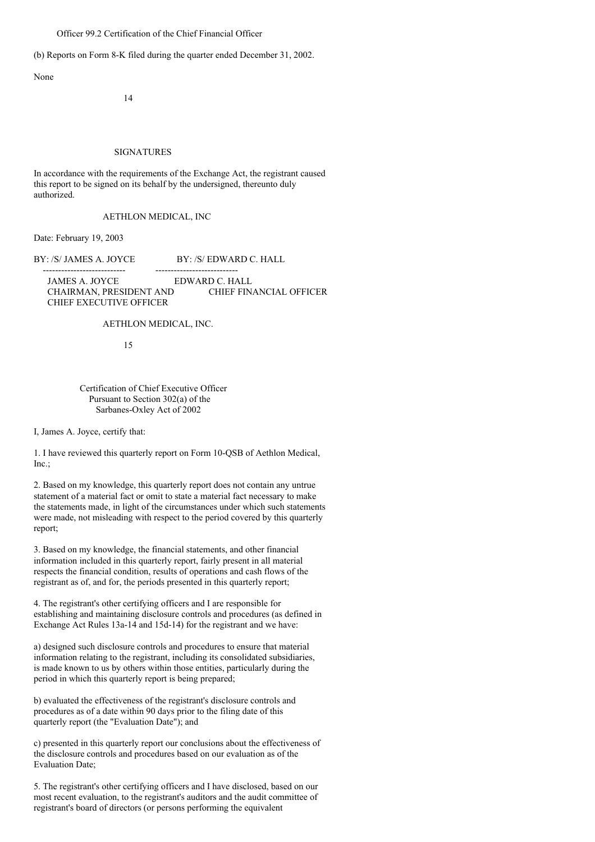Officer 99.2 Certification of the Chief Financial Officer

(b) Reports on Form 8-K filed during the quarter ended December 31, 2002.

None

14

#### SIGNATURES

In accordance with the requirements of the Exchange Act, the registrant caused this report to be signed on its behalf by the undersigned, thereunto duly authorized.

AETHLON MEDICAL, INC

Date: February 19, 2003

BY: /S/ JAMES A. JOYCE BY: /S/ EDWARD C. HALL

--------------------------- --------------------------- JAMES A. JOYCE EDWARD C. HALL CHAIRMAN, PRESIDENT AND CHIEF FINANCIAL OFFICER CHIEF EXECUTIVE OFFICER

AETHLON MEDICAL, INC.

15

## Certification of Chief Executive Officer Pursuant to Section 302(a) of the Sarbanes-Oxley Act of 2002

I, James A. Joyce, certify that:

1. I have reviewed this quarterly report on Form 10-QSB of Aethlon Medical, Inc.;

2. Based on my knowledge, this quarterly report does not contain any untrue statement of a material fact or omit to state a material fact necessary to make the statements made, in light of the circumstances under which such statements were made, not misleading with respect to the period covered by this quarterly report;

3. Based on my knowledge, the financial statements, and other financial information included in this quarterly report, fairly present in all material respects the financial condition, results of operations and cash flows of the registrant as of, and for, the periods presented in this quarterly report;

4. The registrant's other certifying officers and I are responsible for establishing and maintaining disclosure controls and procedures (as defined in Exchange Act Rules 13a-14 and 15d-14) for the registrant and we have:

a) designed such disclosure controls and procedures to ensure that material information relating to the registrant, including its consolidated subsidiaries, is made known to us by others within those entities, particularly during the period in which this quarterly report is being prepared;

b) evaluated the effectiveness of the registrant's disclosure controls and procedures as of a date within 90 days prior to the filing date of this quarterly report (the "Evaluation Date"); and

c) presented in this quarterly report our conclusions about the effectiveness of the disclosure controls and procedures based on our evaluation as of the Evaluation Date;

5. The registrant's other certifying officers and I have disclosed, based on our most recent evaluation, to the registrant's auditors and the audit committee of registrant's board of directors (or persons performing the equivalent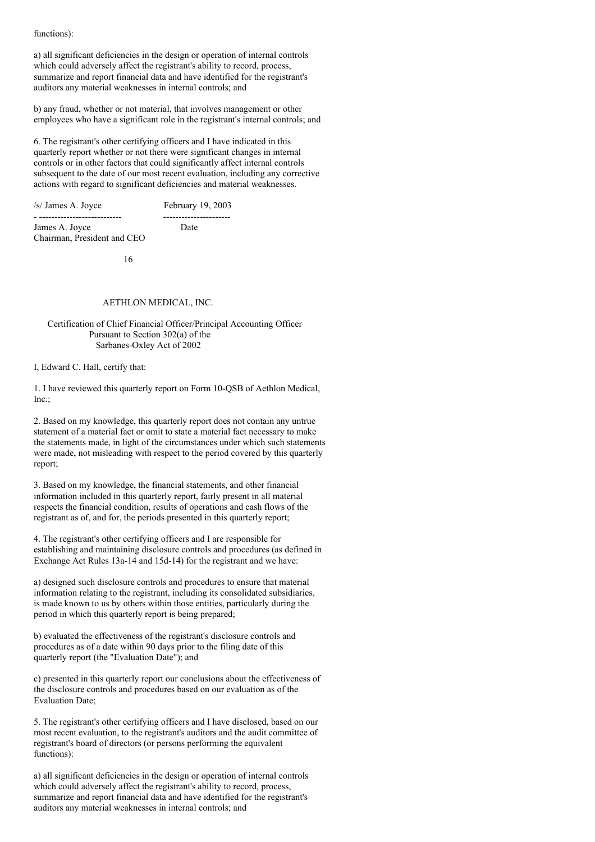functions):

a) all significant deficiencies in the design or operation of internal controls which could adversely affect the registrant's ability to record, process, summarize and report financial data and have identified for the registrant's auditors any material weaknesses in internal controls; and

b) any fraud, whether or not material, that involves management or other employees who have a significant role in the registrant's internal controls; and

6. The registrant's other certifying officers and I have indicated in this quarterly report whether or not there were significant changes in internal controls or in other factors that could significantly affect internal controls subsequent to the date of our most recent evaluation, including any corrective actions with regard to significant deficiencies and material weaknesses.

/s/ James A. Joyce February 19, 2003

- --------------------------- ---------------------- James A. Joyce Date Chairman, President and CEO

16

## AETHLON MEDICAL, INC.

### Certification of Chief Financial Officer/Principal Accounting Officer Pursuant to Section 302(a) of the Sarbanes-Oxley Act of 2002

I, Edward C. Hall, certify that:

1. I have reviewed this quarterly report on Form 10-QSB of Aethlon Medical, Inc.;

2. Based on my knowledge, this quarterly report does not contain any untrue statement of a material fact or omit to state a material fact necessary to make the statements made, in light of the circumstances under which such statements were made, not misleading with respect to the period covered by this quarterly report;

3. Based on my knowledge, the financial statements, and other financial information included in this quarterly report, fairly present in all material respects the financial condition, results of operations and cash flows of the registrant as of, and for, the periods presented in this quarterly report;

4. The registrant's other certifying officers and I are responsible for establishing and maintaining disclosure controls and procedures (as defined in Exchange Act Rules 13a-14 and 15d-14) for the registrant and we have:

a) designed such disclosure controls and procedures to ensure that material information relating to the registrant, including its consolidated subsidiaries, is made known to us by others within those entities, particularly during the period in which this quarterly report is being prepared;

b) evaluated the effectiveness of the registrant's disclosure controls and procedures as of a date within 90 days prior to the filing date of this quarterly report (the "Evaluation Date"); and

c) presented in this quarterly report our conclusions about the effectiveness of the disclosure controls and procedures based on our evaluation as of the Evaluation Date;

5. The registrant's other certifying officers and I have disclosed, based on our most recent evaluation, to the registrant's auditors and the audit committee of registrant's board of directors (or persons performing the equivalent functions):

a) all significant deficiencies in the design or operation of internal controls which could adversely affect the registrant's ability to record, process, summarize and report financial data and have identified for the registrant's auditors any material weaknesses in internal controls; and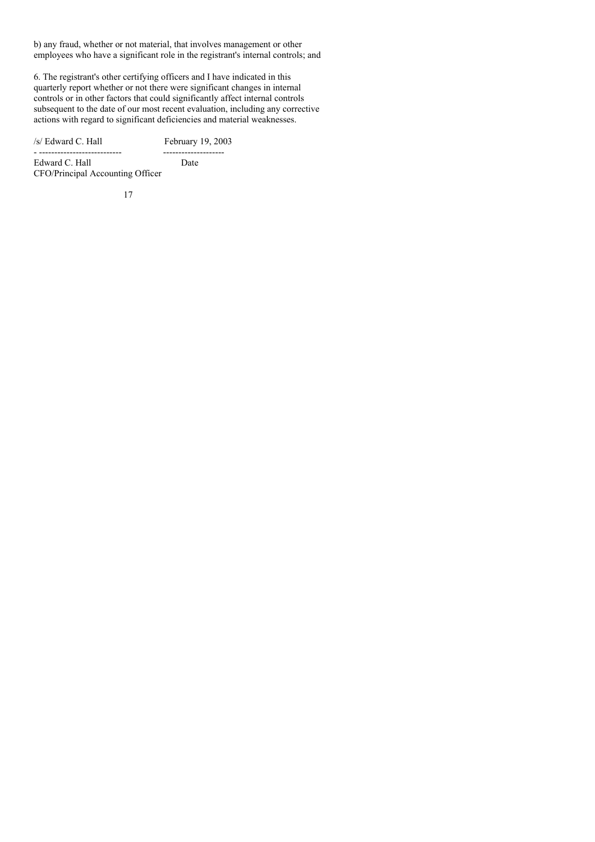b) any fraud, whether or not material, that involves management or other employees who have a significant role in the registrant's internal controls; and

6. The registrant's other certifying officers and I have indicated in this quarterly report whether or not there were significant changes in internal controls or in other factors that could significantly affect internal controls subsequent to the date of our most recent evaluation, including any corrective actions with regard to significant deficiencies and material weaknesses.

/s/ Edward C. Hall February 19, 2003 - --------------------------- --------------------

Edward C. Hall Date CFO/Principal Accounting Officer

17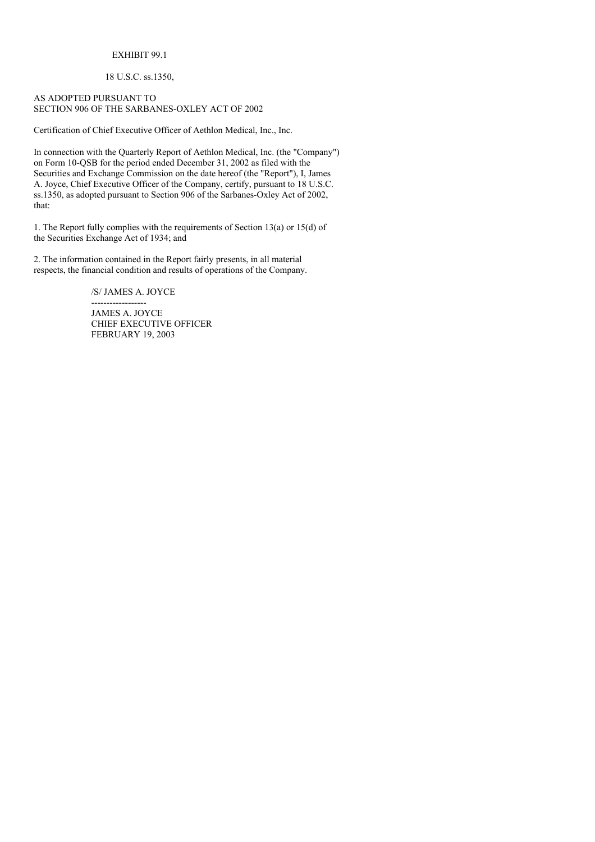# EXHIBIT 99.1

# 18 U.S.C. ss.1350,

## AS ADOPTED PURSUANT TO SECTION 906 OF THE SARBANES-OXLEY ACT OF 2002

Certification of Chief Executive Officer of Aethlon Medical, Inc., Inc.

In connection with the Quarterly Report of Aethlon Medical, Inc. (the "Company") on Form 10-QSB for the period ended December 31, 2002 as filed with the Securities and Exchange Commission on the date hereof (the "Report"), I, James A. Joyce, Chief Executive Officer of the Company, certify, pursuant to 18 U.S.C. ss.1350, as adopted pursuant to Section 906 of the Sarbanes-Oxley Act of 2002, that:

1. The Report fully complies with the requirements of Section 13(a) or 15(d) of the Securities Exchange Act of 1934; and

2. The information contained in the Report fairly presents, in all material respects, the financial condition and results of operations of the Company.

/S/ JAMES A. JOYCE

------------------ JAMES A. JOYCE CHIEF EXECUTIVE OFFICER FEBRUARY 19, 2003